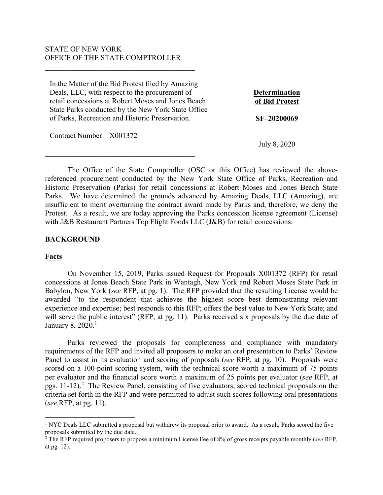# STATE OF NEW YORK OFFICE OF THE STATE COMPTROLLER

 $\overline{\mathcal{L}}$  , and the state of the state of the state of the state of the state of the state of the state of the state of the state of the state of the state of the state of the state of the state of the state of the stat

 $\overline{\mathcal{L}}$  , and the state of the state of the state of the state of the state of the state of the state of the state of the state of the state of the state of the state of the state of the state of the state of the stat

In the Matter of the Bid Protest filed by Amazing Deals, LLC, with respect to the procurement of retail concessions at Robert Moses and Jones Beach State Parks conducted by the New York State Office of Parks, Recreation and Historic Preservation.

Contract Number – X001372

**Determination of Bid Protest**

**SF–20200069**

July 8, 2020

The Office of the State Comptroller (OSC or this Office) has reviewed the abovereferenced procurement conducted by the New York State Office of Parks, Recreation and Historic Preservation (Parks) for retail concessions at Robert Moses and Jones Beach State Parks. We have determined the grounds advanced by Amazing Deals, LLC (Amazing), are insufficient to merit overturning the contract award made by Parks and, therefore, we deny the Protest. As a result, we are today approving the Parks concession license agreement (License) with J&B Restaurant Partners Top Flight Foods LLC (J&B) for retail concessions.

### **BACKGROUND**

## **Facts**

 $\overline{a}$ 

On November 15, 2019, Parks issued Request for Proposals X001372 (RFP) for retail concessions at Jones Beach State Park in Wantagh, New York and Robert Moses State Park in Babylon, New York (*see* RFP, at pg. 1). The RFP provided that the resulting License would be awarded "to the respondent that achieves the highest score best demonstrating relevant experience and expertise; best responds to this RFP; offers the best value to New York State; and will serve the public interest" (RFP, at pg. 11). Parks received six proposals by the due date of January 8, 2020. $^1$ 

Parks reviewed the proposals for completeness and compliance with mandatory requirements of the RFP and invited all proposers to make an oral presentation to Parks' Review Panel to assist in its evaluation and scoring of proposals (*see* RFP, at pg. 10). Proposals were scored on a 100-point scoring system, with the technical score worth a maximum of 75 points per evaluator and the financial score worth a maximum of 25 points per evaluator (*see* RFP, at pgs. 11-12).<sup>2</sup> The Review Panel, consisting of five evaluators, scored technical proposals on the criteria set forth in the RFP and were permitted to adjust such scores following oral presentations (*see* RFP, at pg. 11).

<sup>&</sup>lt;sup>1</sup> NYC Deals LLC submitted a proposal but withdrew its proposal prior to award. As a result, Parks scored the five proposals submitted by the due date. 2 The RFP required proposers to propose a minimum License Fee of 8% of gross receipts payable monthly (*see* RFP,

at pg. 12).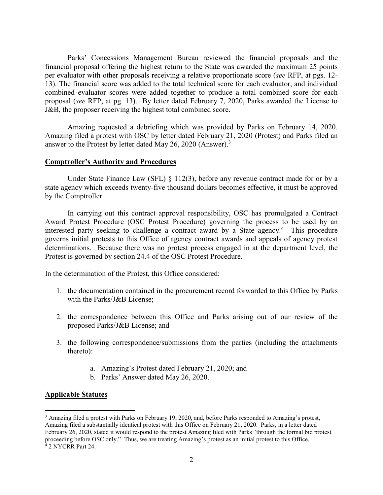Parks' Concessions Management Bureau reviewed the financial proposals and the financial proposal offering the highest return to the State was awarded the maximum 25 points per evaluator with other proposals receiving a relative proportionate score (*see* RFP, at pgs. 12- 13). The financial score was added to the total technical score for each evaluator, and individual combined evaluator scores were added together to produce a total combined score for each proposal (*see* RFP, at pg. 13). By letter dated February 7, 2020, Parks awarded the License to J&B, the proposer receiving the highest total combined score.

Amazing requested a debriefing which was provided by Parks on February 14, 2020. Amazing filed a protest with OSC by letter dated February 21, 2020 (Protest) and Parks filed an answer to the Protest by letter dated May 26, 2020 (Answer).<sup>3</sup>

## **Comptroller's Authority and Procedures**

Under State Finance Law (SFL) § 112(3), before any revenue contract made for or by a state agency which exceeds twenty-five thousand dollars becomes effective, it must be approved by the Comptroller.

In carrying out this contract approval responsibility, OSC has promulgated a Contract Award Protest Procedure (OSC Protest Procedure) governing the process to be used by an interested party seeking to challenge a contract award by a State agency.<sup>4</sup> This procedure governs initial protests to this Office of agency contract awards and appeals of agency protest determinations. Because there was no protest process engaged in at the department level, the Protest is governed by section 24.4 of the OSC Protest Procedure.

In the determination of the Protest, this Office considered:

- 1. the documentation contained in the procurement record forwarded to this Office by Parks with the Parks/J&B License;
- 2. the correspondence between this Office and Parks arising out of our review of the proposed Parks/J&B License; and
- 3. the following correspondence/submissions from the parties (including the attachments thereto):
	- a. Amazing's Protest dated February 21, 2020; and
	- b. Parks' Answer dated May 26, 2020.

# **Applicable Statutes**

 $\overline{a}$ 

<sup>&</sup>lt;sup>3</sup> Amazing filed a protest with Parks on February 19, 2020, and, before Parks responded to Amazing's protest, Amazing filed a substantially identical protest with this Office on February 21, 2020. Parks, in a letter dated February 26, 2020, stated it would respond to the protest Amazing filed with Parks "through the formal bid protest proceeding before OSC only." Thus, we are treating Amazing's protest as an initial protest to this Office. 4 2 NYCRR Part 24.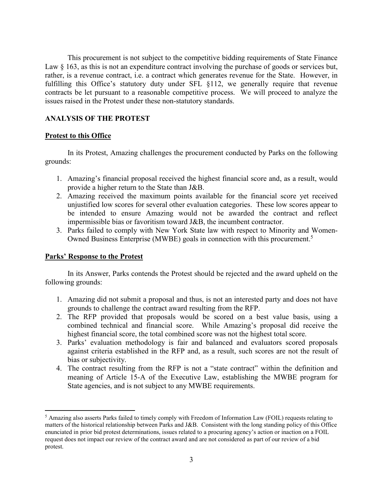This procurement is not subject to the competitive bidding requirements of State Finance Law  $\S$  163, as this is not an expenditure contract involving the purchase of goods or services but, rather, is a revenue contract, i.e. a contract which generates revenue for the State. However, in fulfilling this Office's statutory duty under SFL §112, we generally require that revenue contracts be let pursuant to a reasonable competitive process. We will proceed to analyze the issues raised in the Protest under these non-statutory standards.

# **ANALYSIS OF THE PROTEST**

## **Protest to this Office**

In its Protest, Amazing challenges the procurement conducted by Parks on the following grounds:

- 1. Amazing's financial proposal received the highest financial score and, as a result, would provide a higher return to the State than J&B.
- 2. Amazing received the maximum points available for the financial score yet received unjustified low scores for several other evaluation categories. These low scores appear to be intended to ensure Amazing would not be awarded the contract and reflect impermissible bias or favoritism toward J&B, the incumbent contractor.
- 3. Parks failed to comply with New York State law with respect to Minority and Women-Owned Business Enterprise (MWBE) goals in connection with this procurement.<sup>5</sup>

# **Parks' Response to the Protest**

 $\overline{a}$ 

In its Answer, Parks contends the Protest should be rejected and the award upheld on the following grounds:

- 1. Amazing did not submit a proposal and thus, is not an interested party and does not have grounds to challenge the contract award resulting from the RFP.
- 2. The RFP provided that proposals would be scored on a best value basis, using a combined technical and financial score. While Amazing's proposal did receive the highest financial score, the total combined score was not the highest total score.
- 3. Parks' evaluation methodology is fair and balanced and evaluators scored proposals against criteria established in the RFP and, as a result, such scores are not the result of bias or subjectivity.
- 4. The contract resulting from the RFP is not a "state contract" within the definition and meaning of Article 15-A of the Executive Law, establishing the MWBE program for State agencies, and is not subject to any MWBE requirements.

<sup>&</sup>lt;sup>5</sup> Amazing also asserts Parks failed to timely comply with Freedom of Information Law (FOIL) requests relating to matters of the historical relationship between Parks and J&B. Consistent with the long standing policy of this Office enunciated in prior bid protest determinations, issues related to a procuring agency's action or inaction on a FOIL request does not impact our review of the contract award and are not considered as part of our review of a bid protest.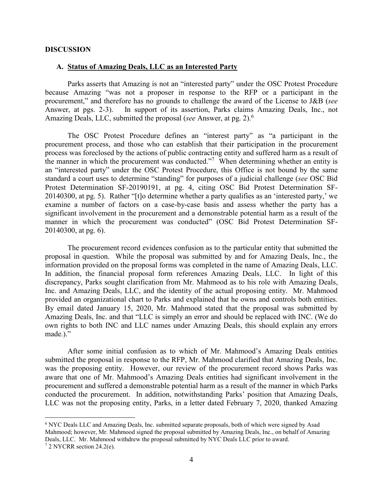#### **DISCUSSION**

 $\overline{a}$ 

### **A. Status of Amazing Deals, LLC as an Interested Party**

Parks asserts that Amazing is not an "interested party" under the OSC Protest Procedure because Amazing "was not a proposer in response to the RFP or a participant in the procurement," and therefore has no grounds to challenge the award of the License to J&B (*see* Answer, at pgs. 2-3). In support of its assertion, Parks claims Amazing Deals, Inc., not In support of its assertion, Parks claims Amazing Deals, Inc., not Amazing Deals, LLC, submitted the proposal (*see* Answer, at pg. 2).<sup>6</sup>

The OSC Protest Procedure defines an "interest party" as "a participant in the procurement process, and those who can establish that their participation in the procurement process was foreclosed by the actions of public contracting entity and suffered harm as a result of the manner in which the procurement was conducted."<sup>7</sup> When determining whether an entity is an "interested party" under the OSC Protest Procedure, this Office is not bound by the same standard a court uses to determine "standing" for purposes of a judicial challenge (*see* OSC Bid Protest Determination SF-20190191, at pg. 4, citing OSC Bid Protest Determination SF-20140300, at pg. 5). Rather "[t]o determine whether a party qualifies as an 'interested party,' we examine a number of factors on a case-by-case basis and assess whether the party has a significant involvement in the procurement and a demonstrable potential harm as a result of the manner in which the procurement was conducted" (OSC Bid Protest Determination SF-20140300, at pg. 6).

 The procurement record evidences confusion as to the particular entity that submitted the proposal in question. While the proposal was submitted by and for Amazing Deals, Inc., the information provided on the proposal forms was completed in the name of Amazing Deals, LLC. In addition, the financial proposal form references Amazing Deals, LLC. In light of this discrepancy, Parks sought clarification from Mr. Mahmood as to his role with Amazing Deals, Inc. and Amazing Deals, LLC, and the identity of the actual proposing entity. Mr. Mahmood provided an organizational chart to Parks and explained that he owns and controls both entities. By email dated January 15, 2020, Mr. Mahmood stated that the proposal was submitted by Amazing Deals, Inc. and that "LLC is simply an error and should be replaced with INC. (We do own rights to both INC and LLC names under Amazing Deals, this should explain any errors made.)."

After some initial confusion as to which of Mr. Mahmood's Amazing Deals entities submitted the proposal in response to the RFP, Mr. Mahmood clarified that Amazing Deals, Inc. was the proposing entity. However, our review of the procurement record shows Parks was aware that one of Mr. Mahmood's Amazing Deals entities had significant involvement in the procurement and suffered a demonstrable potential harm as a result of the manner in which Parks conducted the procurement. In addition, notwithstanding Parks' position that Amazing Deals, LLC was not the proposing entity, Parks, in a letter dated February 7, 2020, thanked Amazing

<sup>&</sup>lt;sup>6</sup> NYC Deals LLC and Amazing Deals, Inc. submitted separate proposals, both of which were signed by Asad Mahmood; however, Mr. Mahmood signed the proposal submitted by Amazing Deals, Inc., on behalf of Amazing Deals, LLC. Mr. Mahmood withdrew the proposal submitted by NYC Deals LLC prior to award. <sup>7</sup> 2 NYCRR section 24.2(e).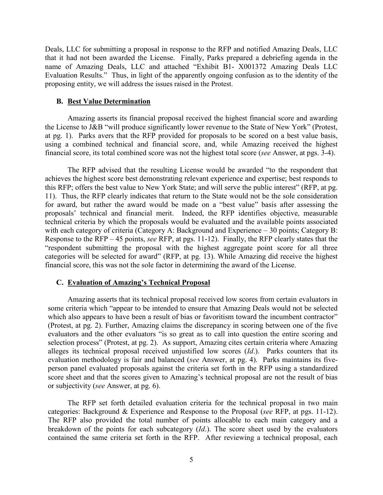Deals, LLC for submitting a proposal in response to the RFP and notified Amazing Deals, LLC that it had not been awarded the License. Finally, Parks prepared a debriefing agenda in the name of Amazing Deals, LLC and attached "Exhibit B1- X001372 Amazing Deals LLC Evaluation Results." Thus, in light of the apparently ongoing confusion as to the identity of the proposing entity, we will address the issues raised in the Protest.

#### **B. Best Value Determination**

Amazing asserts its financial proposal received the highest financial score and awarding the License to J&B "will produce significantly lower revenue to the State of New York" (Protest, at pg. 1). Parks avers that the RFP provided for proposals to be scored on a best value basis, using a combined technical and financial score, and, while Amazing received the highest financial score, its total combined score was not the highest total score (*see* Answer, at pgs. 3-4).

The RFP advised that the resulting License would be awarded "to the respondent that achieves the highest score best demonstrating relevant experience and expertise; best responds to this RFP; offers the best value to New York State; and will serve the public interest" (RFP, at pg. 11). Thus, the RFP clearly indicates that return to the State would not be the sole consideration for award, but rather the award would be made on a "best value" basis after assessing the proposals' technical and financial merit. Indeed, the RFP identifies objective, measurable technical criteria by which the proposals would be evaluated and the available points associated with each category of criteria (Category A: Background and Experience – 30 points; Category B: Response to the RFP – 45 points, *see* RFP, at pgs. 11-12). Finally, the RFP clearly states that the "respondent submitting the proposal with the highest aggregate point score for all three categories will be selected for award" (RFP, at pg. 13). While Amazing did receive the highest financial score, this was not the sole factor in determining the award of the License.

### **C. Evaluation of Amazing's Technical Proposal**

Amazing asserts that its technical proposal received low scores from certain evaluators in some criteria which "appear to be intended to ensure that Amazing Deals would not be selected which also appears to have been a result of bias or favoritism toward the incumbent contractor" (Protest, at pg. 2). Further, Amazing claims the discrepancy in scoring between one of the five evaluators and the other evaluators "is so great as to call into question the entire scoring and selection process" (Protest, at pg. 2). As support, Amazing cites certain criteria where Amazing alleges its technical proposal received unjustified low scores (*Id*.). Parks counters that its evaluation methodology is fair and balanced (*see* Answer, at pg. 4). Parks maintains its fiveperson panel evaluated proposals against the criteria set forth in the RFP using a standardized score sheet and that the scores given to Amazing's technical proposal are not the result of bias or subjectivity (*see* Answer, at pg. 6).

The RFP set forth detailed evaluation criteria for the technical proposal in two main categories: Background & Experience and Response to the Proposal (*see* RFP, at pgs. 11-12). The RFP also provided the total number of points allocable to each main category and a breakdown of the points for each subcategory (*Id*.). The score sheet used by the evaluators contained the same criteria set forth in the RFP. After reviewing a technical proposal, each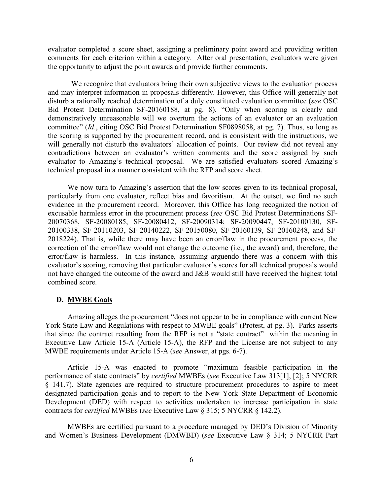evaluator completed a score sheet, assigning a preliminary point award and providing written comments for each criterion within a category. After oral presentation, evaluators were given the opportunity to adjust the point awards and provide further comments.

We recognize that evaluators bring their own subjective views to the evaluation process and may interpret information in proposals differently. However, this Office will generally not disturb a rationally reached determination of a duly constituted evaluation committee (*see* OSC Bid Protest Determination SF-20160188, at pg. 8). "Only when scoring is clearly and demonstratively unreasonable will we overturn the actions of an evaluator or an evaluation committee" (*Id*., citing OSC Bid Protest Determination SF0898058, at pg. 7). Thus, so long as the scoring is supported by the procurement record, and is consistent with the instructions, we will generally not disturb the evaluators' allocation of points. Our review did not reveal any contradictions between an evaluator's written comments and the score assigned by such evaluator to Amazing's technical proposal. We are satisfied evaluators scored Amazing's technical proposal in a manner consistent with the RFP and score sheet.

We now turn to Amazing's assertion that the low scores given to its technical proposal, particularly from one evaluator, reflect bias and favoritism. At the outset, we find no such evidence in the procurement record. Moreover, this Office has long recognized the notion of excusable harmless error in the procurement process (*see* OSC Bid Protest Determinations SF-20070368, SF-20080185, SF-20080412, SF-20090314; SF-20090447, SF-20100130, SF-20100338, SF-20110203, SF-20140222, SF-20150080, SF-20160139, SF-20160248, and SF-2018224). That is, while there may have been an error/flaw in the procurement process, the correction of the error/flaw would not change the outcome (i.e., the award) and, therefore, the error/flaw is harmless. In this instance, assuming arguendo there was a concern with this evaluator's scoring, removing that particular evaluator's scores for all technical proposals would not have changed the outcome of the award and J&B would still have received the highest total combined score.

## **D. MWBE Goals**

Amazing alleges the procurement "does not appear to be in compliance with current New York State Law and Regulations with respect to MWBE goals" (Protest, at pg. 3). Parks asserts that since the contract resulting from the RFP is not a "state contract" within the meaning in Executive Law Article 15-A (Article 15-A), the RFP and the License are not subject to any MWBE requirements under Article 15-A (*see* Answer, at pgs. 6-7).

Article 15-A was enacted to promote "maximum feasible participation in the performance of state contracts" by *certified* MWBEs (*see* Executive Law 313[1], [2]; 5 NYCRR § 141.7). State agencies are required to structure procurement procedures to aspire to meet designated participation goals and to report to the New York State Department of Economic Development (DED) with respect to activities undertaken to increase participation in state contracts for *certified* MWBEs (*see* Executive Law § 315; 5 NYCRR § 142.2).

MWBEs are certified pursuant to a procedure managed by DED's Division of Minority and Women's Business Development (DMWBD) (*see* Executive Law § 314; 5 NYCRR Part